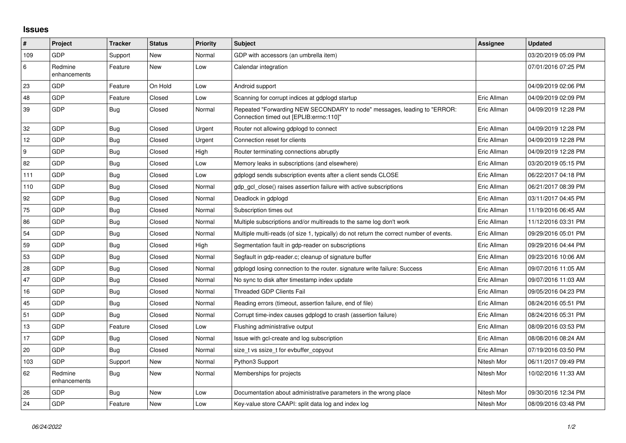## **Issues**

| #   | Project                 | <b>Tracker</b> | <b>Status</b> | <b>Priority</b> | <b>Subject</b>                                                                                                      | <b>Assignee</b> | <b>Updated</b>      |
|-----|-------------------------|----------------|---------------|-----------------|---------------------------------------------------------------------------------------------------------------------|-----------------|---------------------|
| 109 | <b>GDP</b>              | Support        | New           | Normal          | GDP with accessors (an umbrella item)                                                                               |                 | 03/20/2019 05:09 PM |
| 6   | Redmine<br>enhancements | Feature        | <b>New</b>    | Low             | Calendar integration                                                                                                |                 | 07/01/2016 07:25 PM |
| 23  | GDP                     | Feature        | On Hold       | Low             | Android support                                                                                                     |                 | 04/09/2019 02:06 PM |
| 48  | GDP                     | Feature        | Closed        | Low             | Scanning for corrupt indices at gdplogd startup                                                                     | Eric Allman     | 04/09/2019 02:09 PM |
| 39  | <b>GDP</b>              | <b>Bug</b>     | Closed        | Normal          | Repeated "Forwarding NEW SECONDARY to node" messages, leading to "ERROR:<br>Connection timed out [EPLIB:errno:110]" | Eric Allman     | 04/09/2019 12:28 PM |
| 32  | <b>GDP</b>              | Bug            | Closed        | Urgent          | Router not allowing gdplogd to connect                                                                              | Eric Allman     | 04/09/2019 12:28 PM |
| 12  | GDP                     | Bug            | Closed        | Urgent          | Connection reset for clients                                                                                        | Eric Allman     | 04/09/2019 12:28 PM |
| 9   | GDP                     | <b>Bug</b>     | Closed        | High            | Router terminating connections abruptly                                                                             | Eric Allman     | 04/09/2019 12:28 PM |
| 82  | <b>GDP</b>              | Bug            | Closed        | Low             | Memory leaks in subscriptions (and elsewhere)                                                                       | Eric Allman     | 03/20/2019 05:15 PM |
| 111 | GDP                     | <b>Bug</b>     | Closed        | Low             | adpload sends subscription events after a client sends CLOSE                                                        | Eric Allman     | 06/22/2017 04:18 PM |
| 110 | GDP                     | <b>Bug</b>     | Closed        | Normal          | gdp gcl close() raises assertion failure with active subscriptions                                                  | Eric Allman     | 06/21/2017 08:39 PM |
| 92  | <b>GDP</b>              | Bug            | Closed        | Normal          | Deadlock in gdplogd                                                                                                 | Eric Allman     | 03/11/2017 04:45 PM |
| 75  | <b>GDP</b>              | <b>Bug</b>     | Closed        | Normal          | Subscription times out                                                                                              | Eric Allman     | 11/19/2016 06:45 AM |
| 86  | <b>GDP</b>              | Bug            | Closed        | Normal          | Multiple subscriptions and/or multireads to the same log don't work                                                 | Eric Allman     | 11/12/2016 03:31 PM |
| 54  | <b>GDP</b>              | <b>Bug</b>     | Closed        | Normal          | Multiple multi-reads (of size 1, typically) do not return the correct number of events.                             | Eric Allman     | 09/29/2016 05:01 PM |
| 59  | <b>GDP</b>              | <b>Bug</b>     | Closed        | High            | Segmentation fault in gdp-reader on subscriptions                                                                   | Eric Allman     | 09/29/2016 04:44 PM |
| 53  | <b>GDP</b>              | Bug            | Closed        | Normal          | Segfault in gdp-reader.c; cleanup of signature buffer                                                               | Eric Allman     | 09/23/2016 10:06 AM |
| 28  | <b>GDP</b>              | Bug            | Closed        | Normal          | gdplogd losing connection to the router, signature write failure: Success                                           | Eric Allman     | 09/07/2016 11:05 AM |
| 47  | <b>GDP</b>              | <b>Bug</b>     | Closed        | Normal          | No sync to disk after timestamp index update                                                                        | Eric Allman     | 09/07/2016 11:03 AM |
| 16  | GDP                     | Bug            | Closed        | Normal          | <b>Threaded GDP Clients Fail</b>                                                                                    | Eric Allman     | 09/05/2016 04:23 PM |
| 45  | <b>GDP</b>              | Bug            | Closed        | Normal          | Reading errors (timeout, assertion failure, end of file)                                                            | Eric Allman     | 08/24/2016 05:51 PM |
| 51  | <b>GDP</b>              | <b>Bug</b>     | Closed        | Normal          | Corrupt time-index causes gdplogd to crash (assertion failure)                                                      | Eric Allman     | 08/24/2016 05:31 PM |
| 13  | <b>GDP</b>              | Feature        | Closed        | Low             | Flushing administrative output                                                                                      | Eric Allman     | 08/09/2016 03:53 PM |
| 17  | <b>GDP</b>              | Bug            | Closed        | Normal          | Issue with gcl-create and log subscription                                                                          | Eric Allman     | 08/08/2016 08:24 AM |
| 20  | <b>GDP</b>              | <b>Bug</b>     | Closed        | Normal          | size t vs ssize t for evbuffer copyout                                                                              | Eric Allman     | 07/19/2016 03:50 PM |
| 103 | <b>GDP</b>              | Support        | New           | Normal          | Python3 Support                                                                                                     | Nitesh Mor      | 06/11/2017 09:49 PM |
| 62  | Redmine<br>enhancements | <b>Bug</b>     | <b>New</b>    | Normal          | Memberships for projects                                                                                            | Nitesh Mor      | 10/02/2016 11:33 AM |
| 26  | <b>GDP</b>              | Bug            | <b>New</b>    | Low             | Documentation about administrative parameters in the wrong place                                                    | Nitesh Mor      | 09/30/2016 12:34 PM |
| 24  | <b>GDP</b>              | Feature        | New           | Low             | Key-value store CAAPI: split data log and index log                                                                 | Nitesh Mor      | 08/09/2016 03:48 PM |